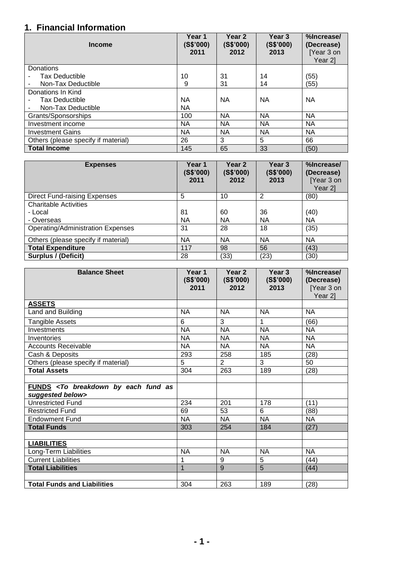## **1. Financial Information**

| <b>Income</b>                       | Year 1<br>(S\$'000)<br>2011 | Year 2<br>(S\$'000)<br>2012 | Year <sub>3</sub><br>(S\$'000)<br>2013 | %Increase/<br>(Decrease)<br>[Year 3 on<br>Year 21 |
|-------------------------------------|-----------------------------|-----------------------------|----------------------------------------|---------------------------------------------------|
| Donations                           |                             |                             |                                        |                                                   |
| <b>Tax Deductible</b>               | 10                          | 31                          | 14                                     | (55)                                              |
| Non-Tax Deductible                  | 9                           | 31                          | 14                                     | (55)                                              |
| Donations In Kind                   |                             |                             |                                        |                                                   |
| <b>Tax Deductible</b>               | <b>NA</b>                   | <b>NA</b>                   | ΝA                                     | <b>NA</b>                                         |
| Non-Tax Deductible                  | <b>NA</b>                   |                             |                                        |                                                   |
| Grants/Sponsorships                 | 100                         | <b>NA</b>                   | <b>NA</b>                              | <b>NA</b>                                         |
| Investment income                   | <b>NA</b>                   | NA                          | ΝA                                     | NА                                                |
| <b>Investment Gains</b>             | <b>NA</b>                   | <b>NA</b>                   | <b>NA</b>                              | <b>NA</b>                                         |
| Others (please specify if material) | 26                          | 3                           | 5                                      | 66                                                |
| <b>Total Income</b>                 | 145                         | 65                          | 33                                     | (50)                                              |

| <b>Expenses</b>                          | Year 1<br>(S\$'000)<br>2011 | Year <sub>2</sub><br>(S\$'000)<br>2012 | Year <sub>3</sub><br>(S\$'000)<br>2013 | %Increase/<br>(Decrease)<br>[Year 3 on<br>Year 2] |
|------------------------------------------|-----------------------------|----------------------------------------|----------------------------------------|---------------------------------------------------|
| <b>Direct Fund-raising Expenses</b>      | 5                           | 10                                     | 2                                      | (80)                                              |
| <b>Charitable Activities</b>             |                             |                                        |                                        |                                                   |
| - Local                                  | 81                          | 60                                     | 36                                     | (40)                                              |
| - Overseas                               | <b>NA</b>                   | NA                                     | NA.                                    | <b>NA</b>                                         |
| <b>Operating/Administration Expenses</b> | 31                          | 28                                     | 18                                     | (35)                                              |
| Others (please specify if material)      | ΝA                          | <b>NA</b>                              | <b>NA</b>                              | <b>NA</b>                                         |
| <b>Total Expenditure</b>                 | 117                         | 98                                     | 56                                     | (43)                                              |
| Surplus / (Deficit)                      | 28                          | (33)                                   | (23)                                   | (30)                                              |

| <b>Balance Sheet</b>                                                           | Year 1<br>(S\$'000)<br>2011 | Year <sub>2</sub><br>(S\$'000)<br>2012 | Year 3<br>(S\$'000)<br>2013 | %Increase/<br>(Decrease)<br>[Year 3 on<br>Year 2] |
|--------------------------------------------------------------------------------|-----------------------------|----------------------------------------|-----------------------------|---------------------------------------------------|
| <b>ASSETS</b>                                                                  |                             |                                        |                             |                                                   |
| Land and Building                                                              | <b>NA</b>                   | <b>NA</b>                              | <b>NA</b>                   | <b>NA</b>                                         |
| Tangible Assets                                                                | 6                           | 3                                      | 1                           | (66)                                              |
| Investments                                                                    | <b>NA</b>                   | <b>NA</b>                              | <b>NA</b>                   | <b>NA</b>                                         |
| Inventories                                                                    | <b>NA</b>                   | <b>NA</b>                              | <b>NA</b>                   | <b>NA</b>                                         |
| <b>Accounts Receivable</b>                                                     | <b>NA</b>                   | <b>NA</b>                              | <b>NA</b>                   | <b>NA</b>                                         |
| Cash & Deposits                                                                | 293                         | 258                                    | 185                         | (28)                                              |
| Others (please specify if material)                                            | 5                           | 2                                      | 3                           | 50                                                |
| <b>Total Assets</b>                                                            | 304                         | 263                                    | 189                         | (28)                                              |
|                                                                                |                             |                                        |                             |                                                   |
| FUNDS <to as<br="" breakdown="" by="" each="" fund="">suggested below&gt;</to> |                             |                                        |                             |                                                   |
| <b>Unrestricted Fund</b>                                                       | 234                         | 201                                    | 178                         | (11)                                              |
| <b>Restricted Fund</b>                                                         | 69                          | 53                                     | 6                           | (88)                                              |
| <b>Endowment Fund</b>                                                          | <b>NA</b>                   | NA                                     | <b>NA</b>                   | <b>NA</b>                                         |
| <b>Total Funds</b>                                                             | 303                         | 254                                    | 184                         | (27)                                              |
|                                                                                |                             |                                        |                             |                                                   |
| <b>LIABILITIES</b>                                                             |                             |                                        |                             |                                                   |
| Long-Term Liabilities                                                          | <b>NA</b>                   | <b>NA</b>                              | <b>NA</b>                   | <b>NA</b>                                         |
| <b>Current Liabilities</b>                                                     | 1                           | 9                                      | 5                           | (44)                                              |
| <b>Total Liabilities</b>                                                       | 1                           | 9                                      | 5                           | (44)                                              |
|                                                                                |                             |                                        |                             |                                                   |
| <b>Total Funds and Liabilities</b>                                             | 304                         | 263                                    | 189                         | (28)                                              |